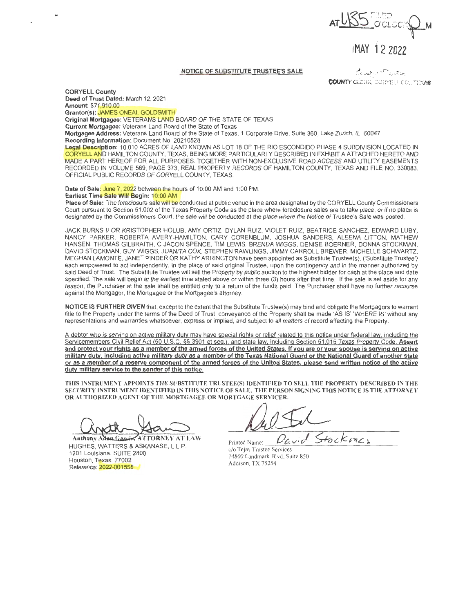**AT USS REPORT ON !MAY** i 2 2022

## **NOTICE OF SUBSTITUTE TRUSTEE'S SALE**

 $\mathcal{L}_{t}$ , the  $\mathcal{L}_{t}$  -  $\mathcal{L}_{t}$  and  $\mathcal{L}_{t}$ **COUNTY CLERK, CORYELL CO., TEMA®** 

**CORYELL County Deed of Trust Dated:** March 12, 2021 **Amount:** \$71 ,910.00 **Grantor(s):** JAMES ONEAL GOLDSMITH

**Original Mortgagee:** VETERANS LAND BOARD OF THE STATE OF TEXAS

**Current Mortgagee:** Veterans Land Board of the State of Texas

**Mortgagee Address:** Veterans Land Board of the State of Texas, 1 Corporate Drive, Suite 360, Lake Zurich, IL 60047 **Recording Information:** Document No. 20210528

**Legal Description:** 10.010 ACRES OF LAND KNOWN AS LOT 18 OF THE RIO ESCONDIDO PHASE **4** SUBDIVISION LOCATED IN CORYELL AND HAMIL TON COUNTY, TEXAS, BEING MORE PARTICULARLY DESCRIBED IN EXHIBIT A ATTACHED HERETO AND MADE A PART HEREOF FOR ALL PURPOSES. TOGETHER WITH NON-EXCLUSIVE ROAD ACCESS AND UTILITY EASEMENTS RECORDED IN VOLUME 569, PAGE 373, REAL PROPERTY RECORDS OF HAMILTON COUNTY, TEXAS AND FILE NO. 330083, OFFICIAL PUBLIC RECORDS OF CORYELL COUNTY, TEXAS.

Date of Sale: June 7, 2022 between the hours of 10:00 AM and 1:00 PM. **Earliest Time Sale Will Begin:** 10:00 AM

**Place of Sale:** The foreclosure sale will be conducted at public venue in the area designated by the CORYELL County Commissioners Court pursuant to Section 51 .002 of the Texas Property Code as the place where foreclosure sales are to take place, or if no place is designated by the Commissioners Court, the sale will be conducted at the place where the Notice of Trustee's Sale was posted.

JACK BURNS II OR KRISTOPHER HOLUB, AMY ORTIZ, DYLAN RUIZ, VIOLET RUIZ, BEATRICE SANCHEZ, EDWARD LUBY, NANCY PARKER, ROBERTA AVERY-HAMILTON, CARY CORENBLUM, JOSHUA SANDERS, ALEENA LITTON, MATHEW HANSEN, THOMAS GILBRAITH, C JACON SPENCE, TIM LEWIS, BRENDA WIGGS, DENISE BOERNER, DONNA STOCKMAN, DAVID STOCKMAN, GUY WIGGS, JUANITA COX, STEPHEN RAWLINGS, JIMMY CARROLL BREWER, MICHELLE SCHWARTZ, MEGHAN LAMONTE, JANET PINDER OR KATHY ARRINGTON have been appointed as Substitute Trustee(s), ('Substitute Trustee') each empowered to act independently, in the place of said original Trustee, upon the contingency and in the manner authorized by said Deed of Trust. The Substitute Trustee will sell the Property by public auction to the highest bidder for cash at the place and date specified. The sale will begin at the earliest time stated above or within three (3) hours after that time. If the sale is set aside for any reason, the Purchaser at the sale shall be entitled only to a return of the funds paid. The Purchaser shall have no further recourse against the Mortgagor, the Mortgagee or the Mortgagee's attorney.

**NOTICE IS FURTHER GIVEN** that, except to the extent that the Substitute Trustee(s) may bind and obligate the Mortgagors to warrant title to the Property under the terms of the Deed of Trust, conveyance of the Property shall be made 'AS IS' 'WHERE IS' without any representations and warranties whatsoever, express or implied, and subject to all matters of record affecting the Property.

A debtor who is serving on active military duty may have special rights or relief related to this notice under federal law, including the Servicemembers Civil Relief Act (50 U.S.C. §§ 3901 et seq.), and state law. including Section 51.015 Texas Property Code. **Assert and protect your rights as a member of the armed forces of the United States. If you are or your spouse is serving on active military duty, including active military duty as a member of the Texas National Guard or the National Guard of another state or as a member of a reserve component of the armed forces of the United States, please send written notice of the active duty military service to the sender of this notice.** 

**THIS lNSTRUMENT APPOINTS THE SUBSTITUTE TRUSTEE(S) IDENTIFIED TO SELL THE PROPERTY DESCRIBED lN THE SECURITY lNSTRUMENT IDENTTFJED IN THIS NOTICE OF SALE. THE PERSON SIGNING THIS NOTICE IS THE ATTORNEY OR AUTHORIZED AGENT OF THE MORTGAGEE OR MORTGAGE SERVICER.** 

Anthony Adwa Garcin, ATTORNEY AT LAW HUGHES, WATTERS & ASKANASE, L.L.P. 1201 Louisiana, SUITE 2800 Houston, Texas 77002 Reference: 2022-001555

Pavid Stockman

Printed Name:  $\frac{U}{C_1}$ <br>c/o Tejas Trustee Services 14800 Landmark Blvd, Suite 850 Addison, TX 75254